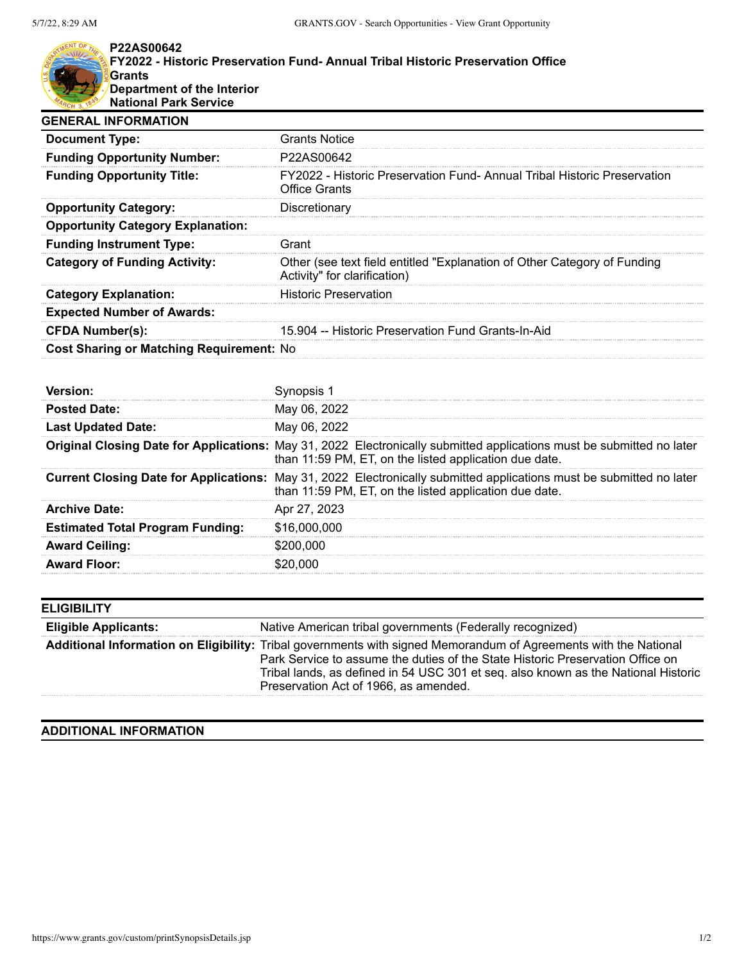## **P22AS00642 FY2022 - Historic Preservation Fund- Annual Tribal Historic Preservation Office Grants Department of the Interior National Park Service**

| <b>Grants Notice</b>                                                                                     |
|----------------------------------------------------------------------------------------------------------|
| P22AS00642                                                                                               |
| FY2022 - Historic Preservation Fund- Annual Tribal Historic Preservation<br><b>Office Grants</b>         |
| Discretionary                                                                                            |
|                                                                                                          |
| Grant                                                                                                    |
| Other (see text field entitled "Explanation of Other Category of Funding<br>Activity" for clarification) |
| <b>Historic Preservation</b>                                                                             |
|                                                                                                          |
| 15,904 -- Historic Preservation Fund Grants-In-Aid                                                       |
| <b>Cost Sharing or Matching Requirement: No</b>                                                          |
|                                                                                                          |

| <b>Posted Date:</b>                     | May 06, 2022                                                                                                                                                                    |
|-----------------------------------------|---------------------------------------------------------------------------------------------------------------------------------------------------------------------------------|
| <b>Last Updated Date:</b>               | May 06, 2022                                                                                                                                                                    |
|                                         | Original Closing Date for Applications: May 31, 2022 Electronically submitted applications must be submitted no later<br>than 11:59 PM, ET, on the listed application due date. |
|                                         | Current Closing Date for Applications: May 31, 2022 Electronically submitted applications must be submitted no later<br>than 11:59 PM, ET, on the listed application due date.  |
| <b>Archive Date:</b>                    | Apr 27, 2023                                                                                                                                                                    |
| <b>Estimated Total Program Funding:</b> | \$16,000,000                                                                                                                                                                    |
| <b>Award Ceiling:</b>                   | \$200,000                                                                                                                                                                       |
| <b>Award Floor:</b>                     | 20.000                                                                                                                                                                          |
|                                         |                                                                                                                                                                                 |

| <b>ELIGIBILITY</b>          |                                                                                                                                                                                                                                                                                                                                   |
|-----------------------------|-----------------------------------------------------------------------------------------------------------------------------------------------------------------------------------------------------------------------------------------------------------------------------------------------------------------------------------|
| <b>Eligible Applicants:</b> | Native American tribal governments (Federally recognized)                                                                                                                                                                                                                                                                         |
|                             | Additional Information on Eligibility: Tribal governments with signed Memorandum of Agreements with the National<br>Park Service to assume the duties of the State Historic Preservation Office on<br>Tribal lands, as defined in 54 USC 301 et seq. also known as the National Historic<br>Preservation Act of 1966, as amended. |

## **ADDITIONAL INFORMATION**